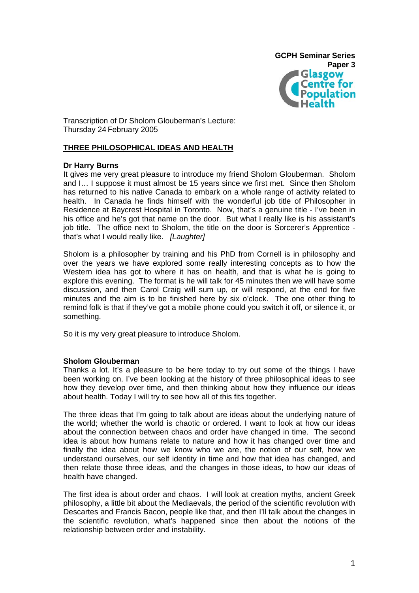

Transcription of Dr Sholom Glouberman's Lecture: Thursday 24 February 2005

## **THREE PHILOSOPHICAL IDEAS AND HEALTH**

### **Dr Harry Burns**

It gives me very great pleasure to introduce my friend Sholom Glouberman. Sholom and I… I suppose it must almost be 15 years since we first met. Since then Sholom has returned to his native Canada to embark on a whole range of activity related to health. In Canada he finds himself with the wonderful job title of Philosopher in Residence at Baycrest Hospital in Toronto. Now, that's a genuine title - I've been in his office and he's got that name on the door. But what I really like is his assistant's job title. The office next to Sholom, the title on the door is Sorcerer's Apprentice that's what I would really like. *[Laughter]*

Sholom is a philosopher by training and his PhD from Cornell is in philosophy and over the years we have explored some really interesting concepts as to how the Western idea has got to where it has on health, and that is what he is going to explore this evening. The format is he will talk for 45 minutes then we will have some discussion, and then Carol Craig will sum up, or will respond, at the end for five minutes and the aim is to be finished here by six o'clock. The one other thing to remind folk is that if they've got a mobile phone could you switch it off, or silence it, or something.

So it is my very great pleasure to introduce Sholom.

### **Sholom Glouberman**

Thanks a lot. It's a pleasure to be here today to try out some of the things I have been working on. I've been looking at the history of three philosophical ideas to see how they develop over time, and then thinking about how they influence our ideas about health. Today I will try to see how all of this fits together.

The three ideas that I'm going to talk about are ideas about the underlying nature of the world; whether the world is chaotic or ordered. I want to look at how our ideas about the connection between chaos and order have changed in time. The second idea is about how humans relate to nature and how it has changed over time and finally the idea about how we know who we are, the notion of our self, how we understand ourselves, our self identity in time and how that idea has changed, and then relate those three ideas, and the changes in those ideas, to how our ideas of health have changed.

The first idea is about order and chaos. I will look at creation myths, ancient Greek philosophy, a little bit about the Mediaevals, the period of the scientific revolution with Descartes and Francis Bacon, people like that, and then I'll talk about the changes in the scientific revolution, what's happened since then about the notions of the relationship between order and instability.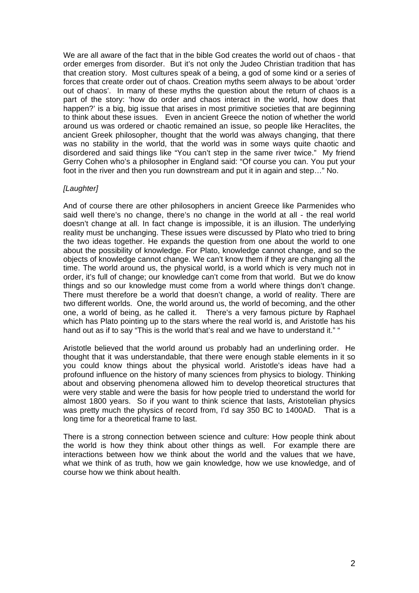We are all aware of the fact that in the bible God creates the world out of chaos - that order emerges from disorder. But it's not only the Judeo Christian tradition that has that creation story. Most cultures speak of a being, a god of some kind or a series of forces that create order out of chaos. Creation myths seem always to be about 'order out of chaos'. In many of these myths the question about the return of chaos is a part of the story: 'how do order and chaos interact in the world, how does that happen?' is a big, big issue that arises in most primitive societies that are beginning to think about these issues. Even in ancient Greece the notion of whether the world around us was ordered or chaotic remained an issue, so people like Heraclites, the ancient Greek philosopher, thought that the world was always changing, that there was no stability in the world, that the world was in some ways quite chaotic and disordered and said things like "You can't step in the same river twice." My friend Gerry Cohen who's a philosopher in England said: "Of course you can. You put your foot in the river and then you run downstream and put it in again and step…" No.

# *[Laughter]*

And of course there are other philosophers in ancient Greece like Parmenides who said well there's no change, there's no change in the world at all - the real world doesn't change at all. In fact change is impossible, it is an illusion. The underlying reality must be unchanging. These issues were discussed by Plato who tried to bring the two ideas together. He expands the question from one about the world to one about the possibility of knowledge. For Plato, knowledge cannot change, and so the objects of knowledge cannot change. We can't know them if they are changing all the time. The world around us, the physical world, is a world which is very much not in order, it's full of change; our knowledge can't come from that world. But we do know things and so our knowledge must come from a world where things don't change. There must therefore be a world that doesn't change, a world of reality. There are two different worlds. One, the world around us, the world of becoming, and the other one, a world of being, as he called it. There's a very famous picture by Raphael which has Plato pointing up to the stars where the real world is, and Aristotle has his hand out as if to say "This is the world that's real and we have to understand it." "

Aristotle believed that the world around us probably had an underlining order. He thought that it was understandable, that there were enough stable elements in it so you could know things about the physical world. Aristotle's ideas have had a profound influence on the history of many sciences from physics to biology. Thinking about and observing phenomena allowed him to develop theoretical structures that were very stable and were the basis for how people tried to understand the world for almost 1800 years. So if you want to think science that lasts, Aristotelian physics was pretty much the physics of record from, I'd say 350 BC to 1400AD. That is a long time for a theoretical frame to last.

There is a strong connection between science and culture: How people think about the world is how they think about other things as well. For example there are interactions between how we think about the world and the values that we have, what we think of as truth, how we gain knowledge, how we use knowledge, and of course how we think about health.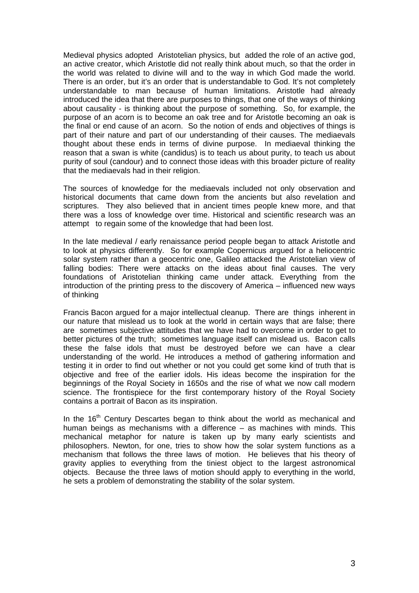Medieval physics adopted Aristotelian physics, but added the role of an active god, an active creator, which Aristotle did not really think about much, so that the order in the world was related to divine will and to the way in which God made the world. There is an order, but it's an order that is understandable to God. It's not completely understandable to man because of human limitations. Aristotle had already introduced the idea that there are purposes to things, that one of the ways of thinking about causality - is thinking about the purpose of something. So, for example, the purpose of an acorn is to become an oak tree and for Aristotle becoming an oak is the final or end cause of an acorn. So the notion of ends and objectives of things is part of their nature and part of our understanding of their causes. The mediaevals thought about these ends in terms of divine purpose. In mediaeval thinking the reason that a swan is white (candidus) is to teach us about purity, to teach us about purity of soul (candour) and to connect those ideas with this broader picture of reality that the mediaevals had in their religion.

The sources of knowledge for the mediaevals included not only observation and historical documents that came down from the ancients but also revelation and scriptures. They also believed that in ancient times people knew more, and that there was a loss of knowledge over time. Historical and scientific research was an attempt to regain some of the knowledge that had been lost.

In the late medieval / early renaissance period people began to attack Aristotle and to look at physics differently. So for example Copernicus argued for a heliocentric solar system rather than a geocentric one, Galileo attacked the Aristotelian view of falling bodies: There were attacks on the ideas about final causes. The very foundations of Aristotelian thinking came under attack. Everything from the introduction of the printing press to the discovery of America – influenced new ways of thinking

Francis Bacon argued for a major intellectual cleanup. There are things inherent in our nature that mislead us to look at the world in certain ways that are false; there are sometimes subjective attitudes that we have had to overcome in order to get to better pictures of the truth; sometimes language itself can mislead us. Bacon calls these the false idols that must be destroyed before we can have a clear understanding of the world. He introduces a method of gathering information and testing it in order to find out whether or not you could get some kind of truth that is objective and free of the earlier idols. His ideas become the inspiration for the beginnings of the Royal Society in 1650s and the rise of what we now call modern science. The frontispiece for the first contemporary history of the Royal Society contains a portrait of Bacon as its inspiration.

In the  $16<sup>th</sup>$  Century Descartes began to think about the world as mechanical and human beings as mechanisms with a difference – as machines with minds. This mechanical metaphor for nature is taken up by many early scientists and philosophers. Newton, for one, tries to show how the solar system functions as a mechanism that follows the three laws of motion. He believes that his theory of gravity applies to everything from the tiniest object to the largest astronomical objects. Because the three laws of motion should apply to everything in the world, he sets a problem of demonstrating the stability of the solar system.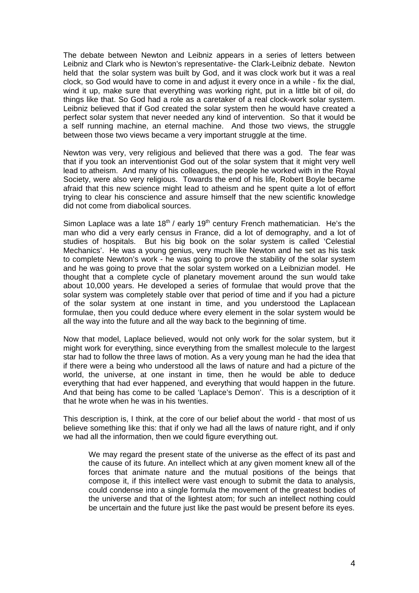The debate between Newton and Leibniz appears in a series of letters between Leibniz and Clark who is Newton's representative- the Clark-Leibniz debate. Newton held that the solar system was built by God, and it was clock work but it was a real clock, so God would have to come in and adjust it every once in a while - fix the dial, wind it up, make sure that everything was working right, put in a little bit of oil, do things like that. So God had a role as a caretaker of a real clock-work solar system. Leibniz believed that if God created the solar system then he would have created a perfect solar system that never needed any kind of intervention. So that it would be a self running machine, an eternal machine. And those two views, the struggle between those two views became a very important struggle at the time.

Newton was very, very religious and believed that there was a god. The fear was that if you took an interventionist God out of the solar system that it might very well lead to atheism. And many of his colleagues, the people he worked with in the Royal Society, were also very religious. Towards the end of his life, Robert Boyle became afraid that this new science might lead to atheism and he spent quite a lot of effort trying to clear his conscience and assure himself that the new scientific knowledge did not come from diabolical sources.

Simon Laplace was a late  $18<sup>th</sup>$  / early  $19<sup>th</sup>$  century French mathematician. He's the man who did a very early census in France, did a lot of demography, and a lot of studies of hospitals. But his big book on the solar system is called 'Celestial Mechanics'. He was a young genius, very much like Newton and he set as his task to complete Newton's work - he was going to prove the stability of the solar system and he was going to prove that the solar system worked on a Leibnizian model. He thought that a complete cycle of planetary movement around the sun would take about 10,000 years. He developed a series of formulae that would prove that the solar system was completely stable over that period of time and if you had a picture of the solar system at one instant in time, and you understood the Laplacean formulae, then you could deduce where every element in the solar system would be all the way into the future and all the way back to the beginning of time.

Now that model, Laplace believed, would not only work for the solar system, but it might work for everything, since everything from the smallest molecule to the largest star had to follow the three laws of motion. As a very young man he had the idea that if there were a being who understood all the laws of nature and had a picture of the world, the universe, at one instant in time, then he would be able to deduce everything that had ever happened, and everything that would happen in the future. And that being has come to be called 'Laplace's Demon'. This is a description of it that he wrote when he was in his twenties.

This description is, I think, at the core of our belief about the world - that most of us believe something like this: that if only we had all the laws of nature right, and if only we had all the information, then we could figure everything out.

We may regard the present state of the universe as the effect of its past and the cause of its future. An intellect which at any given moment knew all of the forces that animate nature and the mutual positions of the beings that compose it, if this intellect were vast enough to submit the data to analysis, could condense into a single formula the movement of the greatest bodies of the universe and that of the lightest atom; for such an intellect nothing could be uncertain and the future just like the past would be present before its eyes.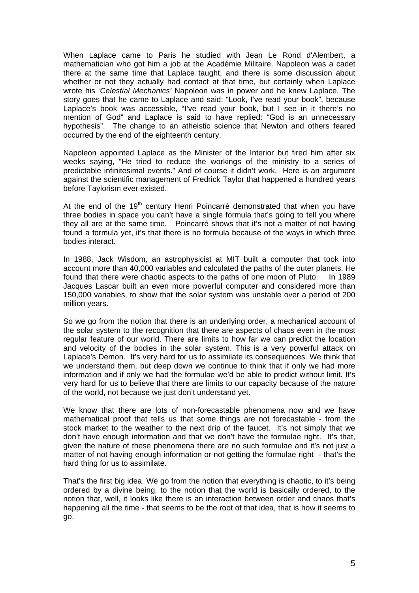When Laplace came to Paris he studied with Jean Le Rond d'Alembert, a mathematician who got him a job at the Académie Militaire. Napoleon was a cadet there at the same time that Laplace taught, and there is some discussion about whether or not they actually had contact at that time, but certainly when Laplace wrote his '*Celestial Mechanics'* Napoleon was in power and he knew Laplace. The story goes that he came to Laplace and said: "Look, I've read your book", because Laplace's book was accessible, "I've read your book, but I see in it there's no mention of God" and Laplace is said to have replied: "God is an unnecessary hypothesis". The change to an atheistic science that Newton and others feared occurred by the end of the eighteenth century.

Napoleon appointed Laplace as the Minister of the Interior but fired him after six weeks saying, "He tried to reduce the workings of the ministry to a series of predictable infinitesimal events." And of course it didn't work. Here is an argument against the scientific management of Fredrick Taylor that happened a hundred years before Taylorism ever existed.

At the end of the  $19<sup>th</sup>$  century Henri Poincarré demonstrated that when you have three bodies in space you can't have a single formula that's going to tell you where they all are at the same time. Poincarré shows that it's not a matter of not having found a formula yet, it's that there is no formula because of the ways in which three bodies interact.

In 1988, Jack Wisdom, an astrophysicist at MIT built a computer that took into account more than 40,000 variables and calculated the paths of the outer planets. He found that there were chaotic aspects to the paths of one moon of Pluto. In 1989 Jacques Lascar built an even more powerful computer and considered more than 150,000 variables, to show that the solar system was unstable over a period of 200 million years.

So we go from the notion that there is an underlying order, a mechanical account of the solar system to the recognition that there are aspects of chaos even in the most regular feature of our world. There are limits to how far we can predict the location and velocity of the bodies in the solar system. This is a very powerful attack on Laplace's Demon. It's very hard for us to assimilate its consequences. We think that we understand them, but deep down we continue to think that if only we had more information and if only we had the formulae we'd be able to predict without limit. It's very hard for us to believe that there are limits to our capacity because of the nature of the world, not because we just don't understand yet.

We know that there are lots of non-forecastable phenomena now and we have mathematical proof that tells us that some things are not forecastable - from the stock market to the weather to the next drip of the faucet. It's not simply that we don't have enough information and that we don't have the formulae right. It's that, given the nature of these phenomena there are no such formulae and it's not just a matter of not having enough information or not getting the formulae right - that's the hard thing for us to assimilate.

That's the first big idea. We go from the notion that everything is chaotic, to it's being ordered by a divine being, to the notion that the world is basically ordered, to the notion that, well, it looks like there is an interaction between order and chaos that's happening all the time - that seems to be the root of that idea, that is how it seems to go.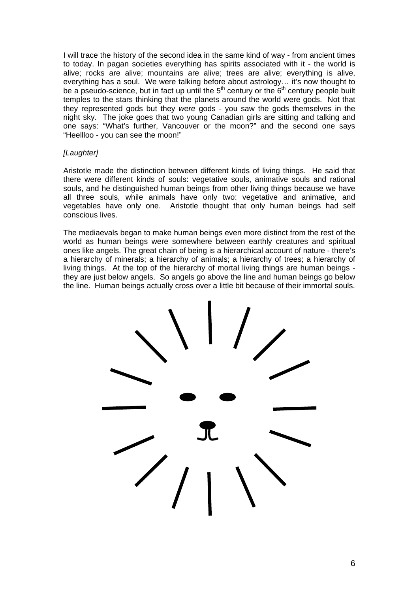I will trace the history of the second idea in the same kind of way - from ancient times to today. In pagan societies everything has spirits associated with it - the world is alive; rocks are alive; mountains are alive; trees are alive; everything is alive, everything has a soul. We were talking before about astrology... it's now thought to be a pseudo-science, but in fact up until the  $5<sup>th</sup>$  century or the  $6<sup>th</sup>$  century people built temples to the stars thinking that the planets around the world were gods. Not that they represented gods but they *were* gods - you saw the gods themselves in the night sky. The joke goes that two young Canadian girls are sitting and talking and one says: "What's further, Vancouver or the moon?" and the second one says "Heellloo - you can see the moon!"

## *[Laughter]*

Aristotle made the distinction between different kinds of living things. He said that there were different kinds of souls: vegetative souls, animative souls and rational souls, and he distinguished human beings from other living things because we have all three souls, while animals have only two: vegetative and animative, and vegetables have only one. Aristotle thought that only human beings had self conscious lives.

The mediaevals began to make human beings even more distinct from the rest of the world as human beings were somewhere between earthly creatures and spiritual ones like angels. The great chain of being is a hierarchical account of nature - there's a hierarchy of minerals; a hierarchy of animals; a hierarchy of trees; a hierarchy of living things. At the top of the hierarchy of mortal living things are human beings they are just below angels. So angels go above the line and human beings go below the line. Human beings actually cross over a little bit because of their immortal souls.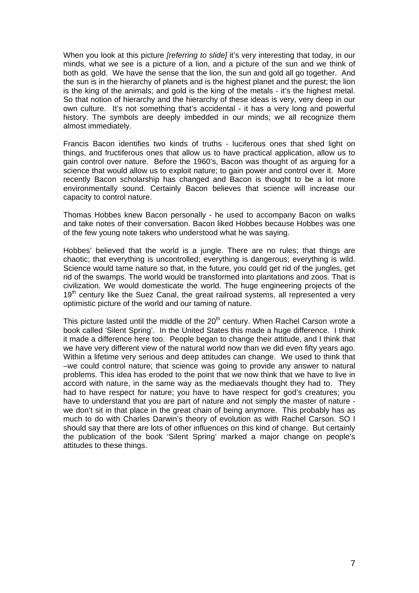When you look at this picture *[referring to slide]* it's very interesting that today, in our minds, what we see is a picture of a lion, and a picture of the sun and we think of both as gold. We have the sense that the lion, the sun and gold all go together. And the sun is in the hierarchy of planets and is the highest planet and the purest; the lion is the king of the animals; and gold is the king of the metals - it's the highest metal. So that notion of hierarchy and the hierarchy of these ideas is very, very deep in our own culture. It's not something that's accidental - it has a very long and powerful history. The symbols are deeply imbedded in our minds; we all recognize them almost immediately.

Francis Bacon identifies two kinds of truths - luciferous ones that shed light on things, and fructiferous ones that allow us to have practical application, allow us to gain control over nature. Before the 1960's, Bacon was thought of as arguing for a science that would allow us to exploit nature; to gain power and control over it. More recently Bacon scholarship has changed and Bacon is thought to be a lot more environmentally sound. Certainly Bacon believes that science will increase our capacity to control nature.

Thomas Hobbes knew Bacon personally - he used to accompany Bacon on walks and take notes of their conversation. Bacon liked Hobbes because Hobbes was one of the few young note takers who understood what he was saying.

Hobbes' believed that the world is a jungle. There are no rules; that things are chaotic; that everything is uncontrolled; everything is dangerous; everything is wild. Science would tame nature so that, in the future, you could get rid of the jungles, get rid of the swamps. The world would be transformed into plantations and zoos. That is civilization. We would domesticate the world. The huge engineering projects of the  $19<sup>th</sup>$  century like the Suez Canal, the great railroad systems, all represented a very optimistic picture of the world and our taming of nature.

This picture lasted until the middle of the  $20<sup>th</sup>$  century. When Rachel Carson wrote a book called 'Silent Spring'. In the United States this made a huge difference. I think it made a difference here too. People began to change their attitude, and I think that we have very different view of the natural world now than we did even fifty years ago. Within a lifetime very serious and deep attitudes can change. We used to think that –we could control nature; that science was going to provide any answer to natural problems. This idea has eroded to the point that we now think that we have to live in accord with nature, in the same way as the mediaevals thought they had to. They had to have respect for nature; you have to have respect for god's creatures; you have to understand that you are part of nature and not simply the master of nature we don't sit in that place in the great chain of being anymore. This probably has as much to do with Charles Darwin's theory of evolution as with Rachel Carson. SO I should say that there are lots of other influences on this kind of change. But certainly the publication of the book 'Silent Spring' marked a major change on people's attitudes to these things.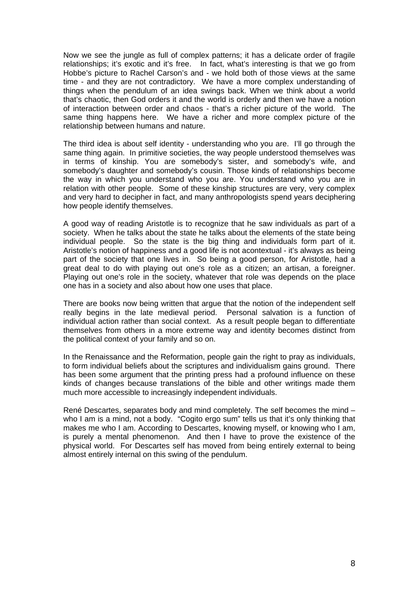Now we see the jungle as full of complex patterns; it has a delicate order of fragile relationships; it's exotic and it's free. In fact, what's interesting is that we go from Hobbe's picture to Rachel Carson's and - we hold both of those views at the same time - and they are not contradictory. We have a more complex understanding of things when the pendulum of an idea swings back. When we think about a world that's chaotic, then God orders it and the world is orderly and then we have a notion of interaction between order and chaos - that's a richer picture of the world. The same thing happens here. We have a richer and more complex picture of the relationship between humans and nature.

The third idea is about self identity - understanding who you are. I'll go through the same thing again. In primitive societies, the way people understood themselves was in terms of kinship. You are somebody's sister, and somebody's wife, and somebody's daughter and somebody's cousin. Those kinds of relationships become the way in which you understand who you are. You understand who you are in relation with other people. Some of these kinship structures are very, very complex and very hard to decipher in fact, and many anthropologists spend years deciphering how people identify themselves.

A good way of reading Aristotle is to recognize that he saw individuals as part of a society. When he talks about the state he talks about the elements of the state being individual people. So the state is the big thing and individuals form part of it. Aristotle's notion of happiness and a good life is not acontextual - it's always as being part of the society that one lives in. So being a good person, for Aristotle, had a great deal to do with playing out one's role as a citizen; an artisan, a foreigner. Playing out one's role in the society, whatever that role was depends on the place one has in a society and also about how one uses that place.

There are books now being written that argue that the notion of the independent self really begins in the late medieval period. Personal salvation is a function of individual action rather than social context. As a result people began to differentiate themselves from others in a more extreme way and identity becomes distinct from the political context of your family and so on.

In the Renaissance and the Reformation, people gain the right to pray as individuals, to form individual beliefs about the scriptures and individualism gains ground. There has been some argument that the printing press had a profound influence on these kinds of changes because translations of the bible and other writings made them much more accessible to increasingly independent individuals.

René Descartes, separates body and mind completely. The self becomes the mind – who I am is a mind, not a body. "Cogito ergo sum" tells us that it's only thinking that makes me who I am. According to Descartes, knowing myself, or knowing who I am, is purely a mental phenomenon. And then I have to prove the existence of the physical world. For Descartes self has moved from being entirely external to being almost entirely internal on this swing of the pendulum.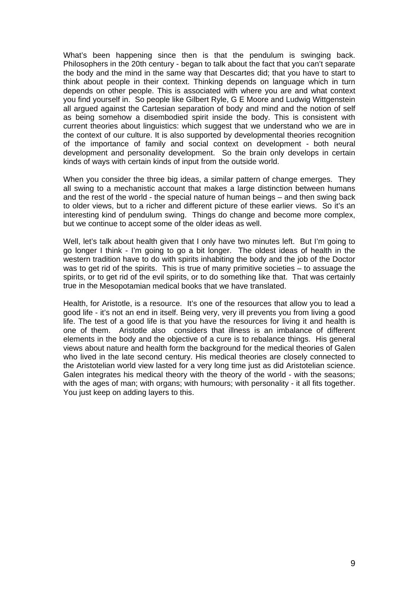What's been happening since then is that the pendulum is swinging back. Philosophers in the 20th century - began to talk about the fact that you can't separate the body and the mind in the same way that Descartes did; that you have to start to think about people in their context. Thinking depends on language which in turn depends on other people. This is associated with where you are and what context you find yourself in. So people like Gilbert Ryle, G E Moore and Ludwig Wittgenstein all argued against the Cartesian separation of body and mind and the notion of self as being somehow a disembodied spirit inside the body. This is consistent with current theories about linguistics: which suggest that we understand who we are in the context of our culture. It is also supported by developmental theories recognition of the importance of family and social context on development - both neural development and personality development. So the brain only develops in certain kinds of ways with certain kinds of input from the outside world.

When you consider the three big ideas, a similar pattern of change emerges. They all swing to a mechanistic account that makes a large distinction between humans and the rest of the world - the special nature of human beings – and then swing back to older views, but to a richer and different picture of these earlier views. So it's an interesting kind of pendulum swing. Things do change and become more complex, but we continue to accept some of the older ideas as well.

Well, let's talk about health given that I only have two minutes left. But I'm going to go longer I think - I'm going to go a bit longer. The oldest ideas of health in the western tradition have to do with spirits inhabiting the body and the job of the Doctor was to get rid of the spirits. This is true of many primitive societies – to assuage the spirits, or to get rid of the evil spirits, or to do something like that. That was certainly true in the Mesopotamian medical books that we have translated.

Health, for Aristotle, is a resource. It's one of the resources that allow you to lead a good life - it's not an end in itself. Being very, very ill prevents you from living a good life. The test of a good life is that you have the resources for living it and health is one of them. Aristotle also considers that illness is an imbalance of different elements in the body and the objective of a cure is to rebalance things. His general views about nature and health form the background for the medical theories of Galen who lived in the late second century. His medical theories are closely connected to the Aristotelian world view lasted for a very long time just as did Aristotelian science. Galen integrates his medical theory with the theory of the world - with the seasons; with the ages of man; with organs; with humours; with personality - it all fits together. You just keep on adding layers to this.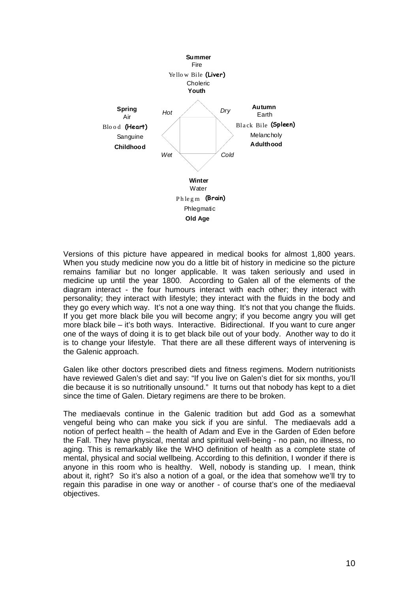

Versions of this picture have appeared in medical books for almost 1,800 years. When you study medicine now you do a little bit of history in medicine so the picture remains familiar but no longer applicable. It was taken seriously and used in medicine up until the year 1800. According to Galen all of the elements of the diagram interact - the four humours interact with each other; they interact with personality; they interact with lifestyle; they interact with the fluids in the body and they go every which way. It's not a one way thing. It's not that you change the fluids. If you get more black bile you will become angry; if you become angry you will get more black bile – it's both ways. Interactive. Bidirectional. If you want to cure anger one of the ways of doing it is to get black bile out of your body. Another way to do it is to change your lifestyle. That there are all these different ways of intervening is the Galenic approach.

Galen like other doctors prescribed diets and fitness regimens. Modern nutritionists have reviewed Galen's diet and say: "If you live on Galen's diet for six months, you'll die because it is so nutritionally unsound." It turns out that nobody has kept to a diet since the time of Galen. Dietary regimens are there to be broken.

The mediaevals continue in the Galenic tradition but add God as a somewhat vengeful being who can make you sick if you are sinful. The mediaevals add a notion of perfect health – the health of Adam and Eve in the Garden of Eden before the Fall. They have physical, mental and spiritual well-being - no pain, no illness, no aging. This is remarkably like the WHO definition of health as a complete state of mental, physical and social wellbeing. According to this definition, I wonder if there is anyone in this room who is healthy. Well, nobody is standing up. I mean, think about it, right? So it's also a notion of a goal, or the idea that somehow we'll try to regain this paradise in one way or another - of course that's one of the mediaeval objectives.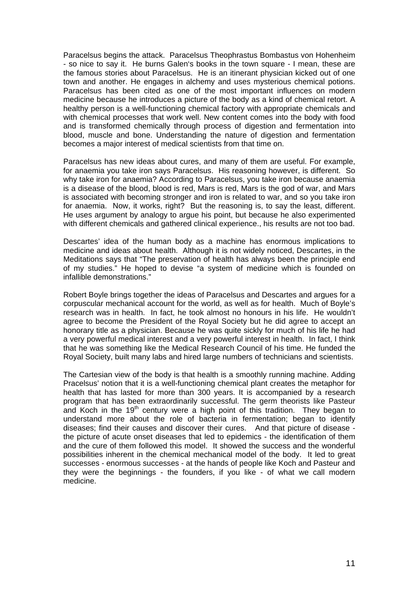Paracelsus begins the attack. Paracelsus Theophrastus Bombastus von Hohenheim - so nice to say it. He burns Galen's books in the town square - I mean, these are the famous stories about Paracelsus. He is an itinerant physician kicked out of one town and another. He engages in alchemy and uses mysterious chemical potions. Paracelsus has been cited as one of the most important influences on modern medicine because he introduces a picture of the body as a kind of chemical retort. A healthy person is a well-functioning chemical factory with appropriate chemicals and with chemical processes that work well. New content comes into the body with food and is transformed chemically through process of digestion and fermentation into blood, muscle and bone. Understanding the nature of digestion and fermentation becomes a major interest of medical scientists from that time on.

Paracelsus has new ideas about cures, and many of them are useful. For example, for anaemia you take iron says Paracelsus. His reasoning however, is different. So why take iron for anaemia? According to Paracelsus, you take iron because anaemia is a disease of the blood, blood is red, Mars is red, Mars is the god of war, and Mars is associated with becoming stronger and iron is related to war, and so you take iron for anaemia. Now, it works, right? But the reasoning is, to say the least, different. He uses argument by analogy to argue his point, but because he also experimented with different chemicals and gathered clinical experience., his results are not too bad.

Descartes' idea of the human body as a machine has enormous implications to medicine and ideas about health. Although it is not widely noticed, Descartes, in the Meditations says that "The preservation of health has always been the principle end of my studies." He hoped to devise "a system of medicine which is founded on infallible demonstrations."

Robert Boyle brings together the ideas of Paracelsus and Descartes and argues for a corpuscular mechanical account for the world, as well as for health. Much of Boyle's research was in health. In fact, he took almost no honours in his life. He wouldn't agree to become the President of the Royal Society but he did agree to accept an honorary title as a physician. Because he was quite sickly for much of his life he had a very powerful medical interest and a very powerful interest in health. In fact, I think that he was something like the Medical Research Council of his time. He funded the Royal Society, built many labs and hired large numbers of technicians and scientists.

The Cartesian view of the body is that health is a smoothly running machine. Adding Pracelsus' notion that it is a well-functioning chemical plant creates the metaphor for health that has lasted for more than 300 years. It is accompanied by a research program that has been extraordinarily successful. The germ theorists like Pasteur and Koch in the  $19<sup>th</sup>$  century were a high point of this tradition. They began to understand more about the role of bacteria in fermentation; began to identify diseases; find their causes and discover their cures. And that picture of disease the picture of acute onset diseases that led to epidemics - the identification of them and the cure of them followed this model. It showed the success and the wonderful possibilities inherent in the chemical mechanical model of the body. It led to great successes - enormous successes - at the hands of people like Koch and Pasteur and they were the beginnings - the founders, if you like - of what we call modern medicine.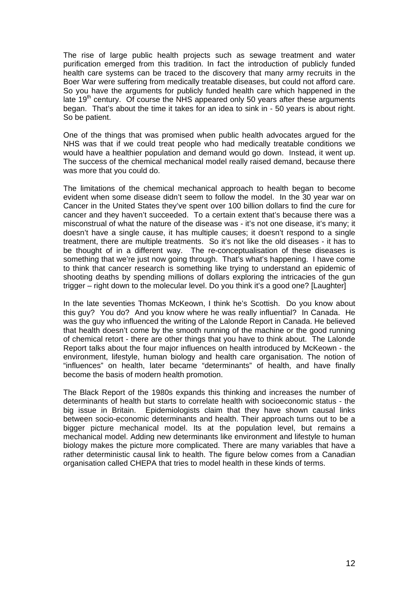The rise of large public health projects such as sewage treatment and water purification emerged from this tradition. In fact the introduction of publicly funded health care systems can be traced to the discovery that many army recruits in the Boer War were suffering from medically treatable diseases, but could not afford care. So you have the arguments for publicly funded health care which happened in the late  $19<sup>th</sup>$  century. Of course the NHS appeared only 50 years after these arguments began. That's about the time it takes for an idea to sink in - 50 years is about right. So be patient.

One of the things that was promised when public health advocates argued for the NHS was that if we could treat people who had medically treatable conditions we would have a healthier population and demand would go down. Instead, it went up. The success of the chemical mechanical model really raised demand, because there was more that you could do.

The limitations of the chemical mechanical approach to health began to become evident when some disease didn't seem to follow the model. In the 30 year war on Cancer in the United States they've spent over 100 billion dollars to find the cure for cancer and they haven't succeeded. To a certain extent that's because there was a misconstrual of what the nature of the disease was - it's not one disease, it's many; it doesn't have a single cause, it has multiple causes; it doesn't respond to a single treatment, there are multiple treatments. So it's not like the old diseases - it has to be thought of in a different way. The re-conceptualisation of these diseases is something that we're just now going through. That's what's happening. I have come to think that cancer research is something like trying to understand an epidemic of shooting deaths by spending millions of dollars exploring the intricacies of the gun trigger – right down to the molecular level. Do you think it's a good one? [Laughter]

In the late seventies Thomas McKeown, I think he's Scottish. Do you know about this guy? You do? And you know where he was really influential? In Canada. He was the guy who influenced the writing of the Lalonde Report in Canada. He believed that health doesn't come by the smooth running of the machine or the good running of chemical retort - there are other things that you have to think about. The Lalonde Report talks about the four major influences on health introduced by McKeown - the environment, lifestyle, human biology and health care organisation. The notion of "influences" on health, later became "determinants" of health, and have finally become the basis of modern health promotion.

The Black Report of the 1980s expands this thinking and increases the number of determinants of health but starts to correlate health with socioeconomic status - the big issue in Britain. Epidemiologists claim that they have shown causal links between socio-economic determinants and health. Their approach turns out to be a bigger picture mechanical model. Its at the population level, but remains a mechanical model. Adding new determinants like environment and lifestyle to human biology makes the picture more complicated. There are many variables that have a rather deterministic causal link to health. The figure below comes from a Canadian organisation called CHEPA that tries to model health in these kinds of terms.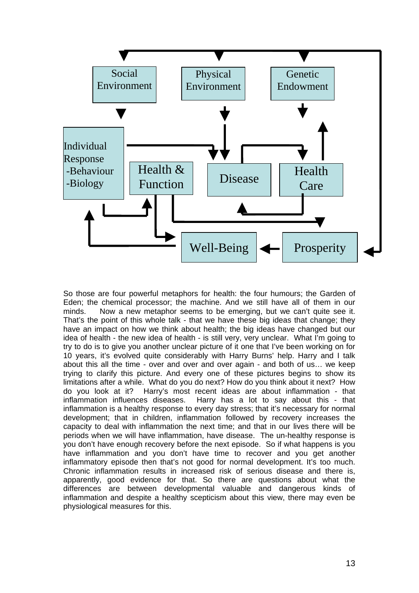

So those are four powerful metaphors for health: the four humours; the Garden of Eden; the chemical processor; the machine. And we still have all of them in our minds. Now a new metaphor seems to be emerging, but we can't quite see it. That's the point of this whole talk - that we have these big ideas that change; they have an impact on how we think about health; the big ideas have changed but our idea of health - the new idea of health - is still very, very unclear. What I'm going to try to do is to give you another unclear picture of it one that I've been working on for 10 years, it's evolved quite considerably with Harry Burns' help. Harry and I talk about this all the time - over and over and over again - and both of us… we keep trying to clarify this picture. And every one of these pictures begins to show its limitations after a while. What do you do next? How do you think about it next? How do you look at it? Harry's most recent ideas are about inflammation - that inflammation influences diseases. Harry has a lot to say about this - that inflammation is a healthy response to every day stress; that it's necessary for normal development; that in children, inflammation followed by recovery increases the capacity to deal with inflammation the next time; and that in our lives there will be periods when we will have inflammation, have disease. The un-healthy response is you don't have enough recovery before the next episode. So if what happens is you have inflammation and you don't have time to recover and you get another inflammatory episode then that's not good for normal development. It's too much. Chronic inflammation results in increased risk of serious disease and there is, apparently, good evidence for that. So there are questions about what the differences are between developmental valuable and dangerous kinds of inflammation and despite a healthy scepticism about this view, there may even be physiological measures for this.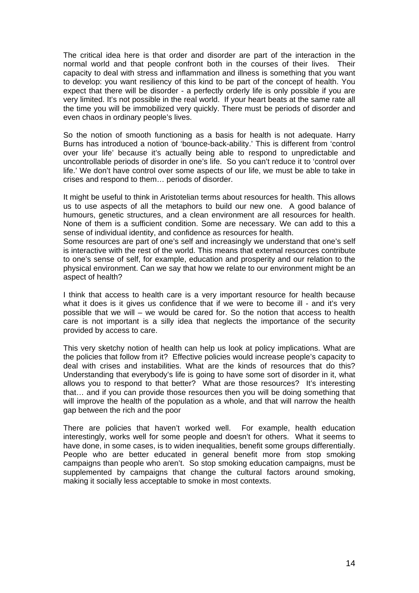The critical idea here is that order and disorder are part of the interaction in the normal world and that people confront both in the courses of their lives. Their capacity to deal with stress and inflammation and illness is something that you want to develop: you want resiliency of this kind to be part of the concept of health. You expect that there will be disorder - a perfectly orderly life is only possible if you are very limited. It's not possible in the real world. If your heart beats at the same rate all the time you will be immobilized very quickly. There must be periods of disorder and even chaos in ordinary people's lives.

So the notion of smooth functioning as a basis for health is not adequate. Harry Burns has introduced a notion of 'bounce-back-ability.' This is different from 'control over your life' because it's actually being able to respond to unpredictable and uncontrollable periods of disorder in one's life. So you can't reduce it to 'control over life.' We don't have control over some aspects of our life, we must be able to take in crises and respond to them… periods of disorder.

It might be useful to think in Aristotelian terms about resources for health. This allows us to use aspects of all the metaphors to build our new one. A good balance of humours, genetic structures, and a clean environment are all resources for health. None of them is a sufficient condition. Some are necessary. We can add to this a sense of individual identity, and confidence as resources for health.

Some resources are part of one's self and increasingly we understand that one's self is interactive with the rest of the world. This means that external resources contribute to one's sense of self, for example, education and prosperity and our relation to the physical environment. Can we say that how we relate to our environment might be an aspect of health?

I think that access to health care is a very important resource for health because what it does is it gives us confidence that if we were to become ill - and it's very possible that we will – we would be cared for. So the notion that access to health care is not important is a silly idea that neglects the importance of the security provided by access to care.

This very sketchy notion of health can help us look at policy implications. What are the policies that follow from it? Effective policies would increase people's capacity to deal with crises and instabilities. What are the kinds of resources that do this? Understanding that everybody's life is going to have some sort of disorder in it, what allows you to respond to that better? What are those resources? It's interesting that… and if you can provide those resources then you will be doing something that will improve the health of the population as a whole, and that will narrow the health gap between the rich and the poor

There are policies that haven't worked well. For example, health education interestingly, works well for some people and doesn't for others. What it seems to have done, in some cases, is to widen inequalities, benefit some groups differentially. People who are better educated in general benefit more from stop smoking campaigns than people who aren't. So stop smoking education campaigns, must be supplemented by campaigns that change the cultural factors around smoking, making it socially less acceptable to smoke in most contexts.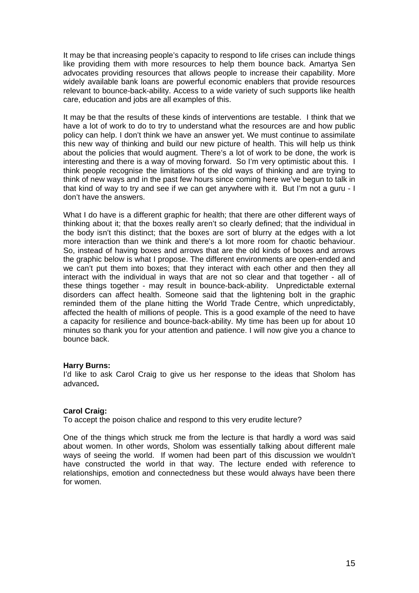It may be that increasing people's capacity to respond to life crises can include things like providing them with more resources to help them bounce back. Amartya Sen advocates providing resources that allows people to increase their capability. More widely available bank loans are powerful economic enablers that provide resources relevant to bounce-back-ability. Access to a wide variety of such supports like health care, education and jobs are all examples of this.

It may be that the results of these kinds of interventions are testable. I think that we have a lot of work to do to try to understand what the resources are and how public policy can help. I don't think we have an answer yet. We must continue to assimilate this new way of thinking and build our new picture of health. This will help us think about the policies that would augment. There's a lot of work to be done, the work is interesting and there is a way of moving forward. So I'm very optimistic about this. I think people recognise the limitations of the old ways of thinking and are trying to think of new ways and in the past few hours since coming here we've begun to talk in that kind of way to try and see if we can get anywhere with it. But I'm not a guru - I don't have the answers.

What I do have is a different graphic for health; that there are other different ways of thinking about it; that the boxes really aren't so clearly defined; that the individual in the body isn't this distinct; that the boxes are sort of blurry at the edges with a lot more interaction than we think and there's a lot more room for chaotic behaviour. So, instead of having boxes and arrows that are the old kinds of boxes and arrows the graphic below is what I propose. The different environments are open-ended and we can't put them into boxes; that they interact with each other and then they all interact with the individual in ways that are not so clear and that together - all of these things together - may result in bounce-back-ability. Unpredictable external disorders can affect health. Someone said that the lightening bolt in the graphic reminded them of the plane hitting the World Trade Centre, which unpredictably, affected the health of millions of people. This is a good example of the need to have a capacity for resilience and bounce-back-ability. My time has been up for about 10 minutes so thank you for your attention and patience. I will now give you a chance to bounce back.

### **Harry Burns:**

I'd like to ask Carol Craig to give us her response to the ideas that Sholom has advanced**.** 

# **Carol Craig:**

To accept the poison chalice and respond to this very erudite lecture?

One of the things which struck me from the lecture is that hardly a word was said about women. In other words, Sholom was essentially talking about different male ways of seeing the world. If women had been part of this discussion we wouldn't have constructed the world in that way. The lecture ended with reference to relationships, emotion and connectedness but these would always have been there for women.